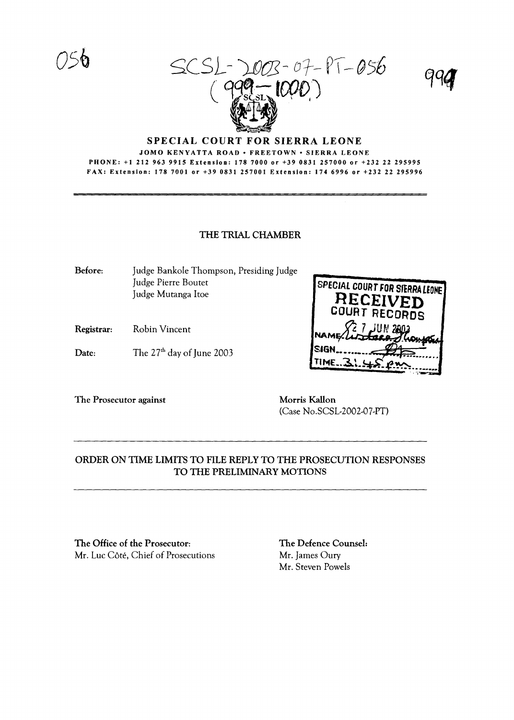SCSL-2003-07-PT-056  $($   $^{qqq}$   $^{UUV}$ )



#### SPECIAL COURT FOR SIERRA LEONE JOMO KENYATTA ROAD · FREETOWN · SIERRA LEONE PHONE: +1 212 963 9915 Extension: 1787000 or +39 0831257000 or +232 22 295995 FAX: Extension: 1787001 or +39 0831257001 Extension: 1746996 or +232 22 295996

### THE TRIAL CHAMBER

Before: Judge Bankole Thompson, Presiding Judge Judge Pierre Boutet Judge Mutanga Itoe

- Registrar: Robin Vincent
- Date: The  $27<sup>th</sup>$  day of June 2003



The Prosecutor against Morris Kallon

(Case No.SCSL-2002-07-PT)

## ORDER ON TIME LIMITS TO FILE REPLY TO THE PROSECUTION RESPONSES TO THE PRELIMINARY MOTIONS

The Office of the Prosecutor: Mr. Luc Côté, Chief of Prosecutions The Defence Counsel: Mr. James Oury Mr. Steven Powels